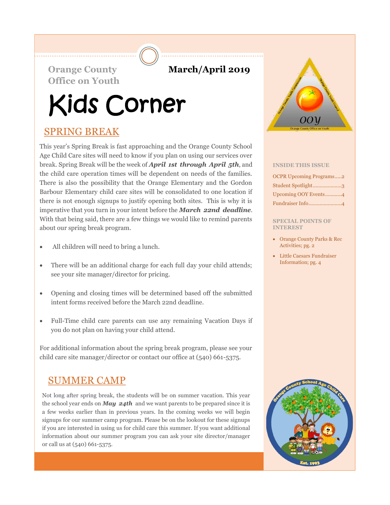### **Orange County March/April 2019**

**Office on Youth**

# Kids Corner

### SPRING BREAK

This year's Spring Break is fast approaching and the Orange County School Age Child Care sites will need to know if you plan on using our services over break. Spring Break will be the week of *April 1st through April 5th*, and the child care operation times will be dependent on needs of the families. There is also the possibility that the Orange Elementary and the Gordon Barbour Elementary child care sites will be consolidated to one location if there is not enough signups to justify opening both sites. This is why it is imperative that you turn in your intent before the *March 22nd deadline*. With that being said, there are a few things we would like to remind parents about our spring break program.

- All children will need to bring a lunch.
- There will be an additional charge for each full day your child attends; see your site manager/director for pricing.
- Opening and closing times will be determined based off the submitted intent forms received before the March 22nd deadline.
- Full-Time child care parents can use any remaining Vacation Days if you do not plan on having your child attend.

For additional information about the spring break program, please see your child care site manager/director or contact our office at (540) 661-5375.

# SUMMER CAMP

Not long after spring break, the students will be on summer vacation. This year the school year ends on *May 24th* and we want parents to be prepared since it is a few weeks earlier than in previous years. In the coming weeks we will begin signups for our summer camp program. Please be on the lookout for these signups if you are interested in using us for child care this summer. If you want additional information about our summer program you can ask your site director/manager or call us at (540) 661-5375.



### **INSIDE THIS ISSUE**

| <b>OCPR Upcoming Programs2</b> |
|--------------------------------|
| Student Spotlight3             |
| Upcoming OOY Events4           |
| Fundraiser Info4               |

#### **SPECIAL POINTS OF INTEREST**

- Orange County Parks & Rec Activities; pg. 2
- Little Caesars Fundraiser Information; pg. 4

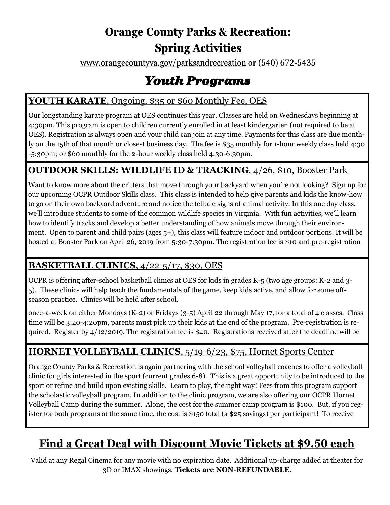# **Orange County Parks & Recreation: Spring Activities**

www.orangecountyva.gov/parksandrecreation or (540) 672-5435

# *Youth Programs*

### YOUTH KARATE, Ongoing, \$35 or \$60 Monthly Fee, OES

Our longstanding karate program at OES continues this year. Classes are held on Wednesdays beginning at 4:30pm. This program is open to children currently enrolled in at least kindergarten (not required to be at OES). Registration is always open and your child can join at any time. Payments for this class are due monthly on the 15th of that month or closest business day. The fee is \$35 monthly for 1-hour weekly class held 4:30 -5:30pm; or \$60 monthly for the 2-hour weekly class held 4:30-6:30pm.

### **OUTDOOR SKILLS: WILDLIFE ID & TRACKING**, 4/26, \$10, Booster Park

Want to know more about the critters that move through your backyard when you're not looking? Sign up for our upcoming OCPR Outdoor Skills class. This class is intended to help give parents and kids the know-how to go on their own backyard adventure and notice the telltale signs of animal activity. In this one day class, we'll introduce students to some of the common wildlife species in Virginia. With fun activities, we'll learn how to identify tracks and develop a better understanding of how animals move through their environment. Open to parent and child pairs (ages 5+), this class will feature indoor and outdoor portions. It will be hosted at Booster Park on April 26, 2019 from 5:30-7:30pm. The registration fee is \$10 and pre-registration

### **BASKETBALL CLINICS**, 4/22-5/17, \$30, OES

OCPR is offering after-school basketball clinics at OES for kids in grades K-5 (two age groups: K-2 and 3- 5). These clinics will help teach the fundamentals of the game, keep kids active, and allow for some offseason practice. Clinics will be held after school.

once-a-week on either Mondays (K-2) or Fridays (3-5) April 22 through May 17, for a total of 4 classes. Class time will be 3:20-4:20pm, parents must pick up their kids at the end of the program. Pre-registration is required. Register by 4/12/2019. The registration fee is \$40. Registrations received after the deadline will be

### **HORNET VOLLEYBALL CLINICS**, 5/19-6/23, \$75, Hornet Sports Center

Orange County Parks & Recreation is again partnering with the school volleyball coaches to offer a volleyball clinic for girls interested in the sport (current grades 6-8). This is a great opportunity to be introduced to the sport or refine and build upon existing skills. Learn to play, the right way! Fees from this program support the scholastic volleyball program. In addition to the clinic program, we are also offering our OCPR Hornet Volleyball Camp during the summer. Alone, the cost for the summer camp program is \$100. But, if you register for both programs at the same time, the cost is \$150 total (a \$25 savings) per participant! To receive

# **Find a Great Deal with Discount Movie Tickets at \$9.50 each**

Valid at any Regal Cinema for any movie with no expiration date. Additional up-charge added at theater for 3D or IMAX showings. **Tickets are NON-REFUNDABLE**.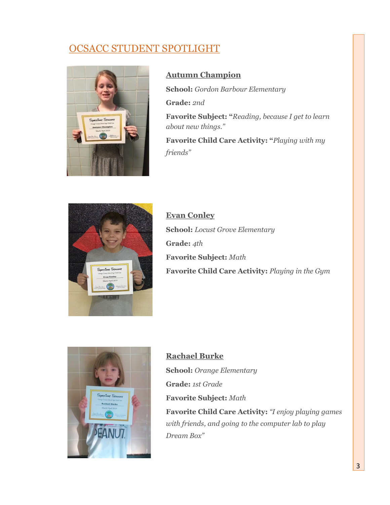## OCSACC STUDENT SPOTLIGHT



### **Autumn Champion**

**School:** *Gordon Barbour Elementary* **Grade:** *2nd*

**Favorite Subject: "***Reading, because I get to learn about new things."*

**Favorite Child Care Activity: "***Playing with my friends"*



**Evan Conley School:** *Locust Grove Elementary* **Grade:** *4th* **Favorite Subject:** *Math* **Favorite Child Care Activity:** *Playing in the Gym*



**Rachael Burke School:** *Orange Elementary* **Grade:** *1st Grade* **Favorite Subject:** *Math* **Favorite Child Care Activity:** *"I enjoy playing games with friends, and going to the computer lab to play Dream Box"*